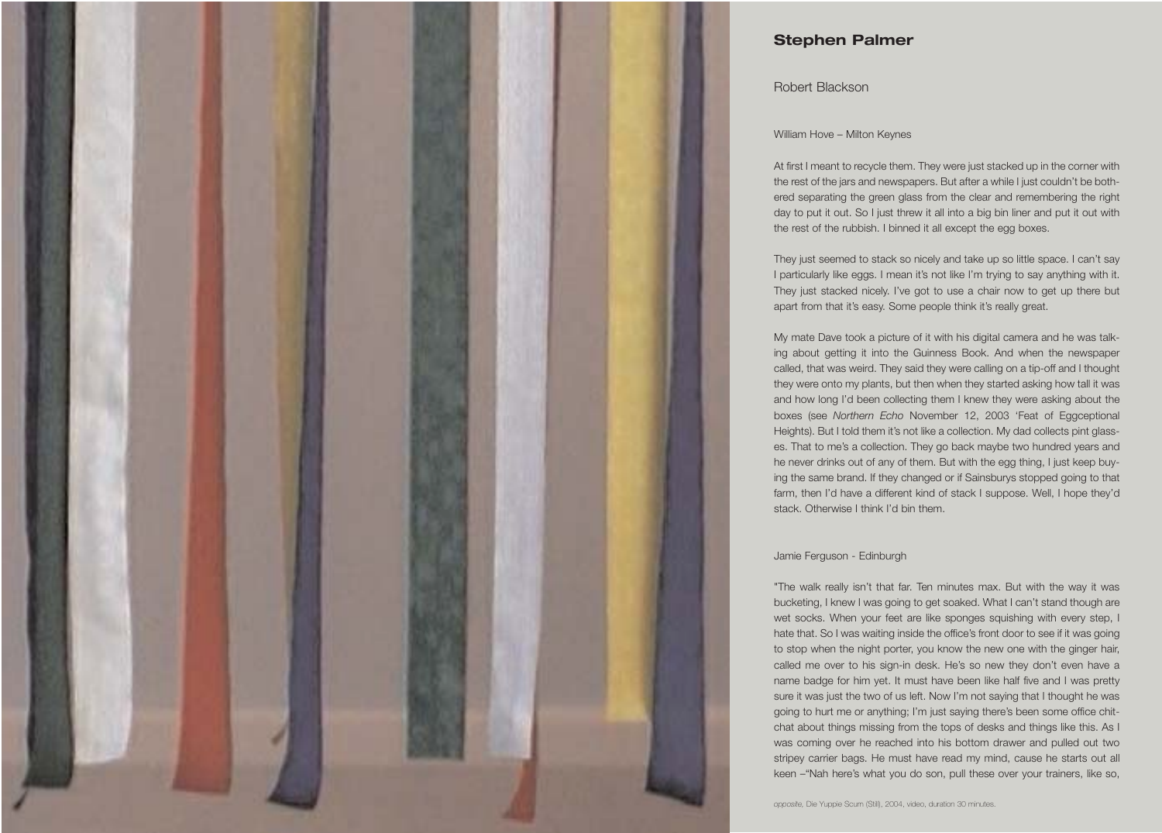

# **Stephen Palmer**

## Robert Blackson

### William Hove – Milton Keynes

At first I meant to recycle them. They were just stacked up in the corner with the rest of the jars and newspapers. But after a while I just couldn't be bothered separating the green glass from the clear and remembering the right day to put it out. So I just threw it all into a big bin liner and put it out with the rest of the rubbish. I binned it all except the egg boxes.

They just seemed to stack so nicely and take up so little space. I can't say I particularly like eggs. I mean it's not like I'm trying to say anything with it. They just stacked nicely. I've got to use a chair now to get up there but apart from that it's easy. Some people think it's really great.

My mate Dave took a picture of it with his digital camera and he was talking about getting it into the Guinness Book. And when the newspaper called, that was weird. They said they were calling on a tip-off and I thought they were onto my plants, but then when they started asking how tall it was and how long I'd been collecting them I knew they were asking about the boxes (see *Northern Echo* November 12, 2003 'Feat of Eggceptional Heights). But I told them it's not like a collection. My dad collects pint glasses. That to me's a collection. They go back maybe two hundred years and he never drinks out of any of them. But with the egg thing, I just keep buying the same brand. If they changed or if Sainsburys stopped going to that farm, then I'd have a different kind of stack I suppose. Well, I hope they'd stack. Otherwise I think I'd bin them.

#### Jamie Ferguson - Edinburgh

"The walk really isn't that far. Ten minutes max. But with the way it was bucketing, I knew I was going to get soaked. What I can't stand though are wet socks. When your feet are like sponges squishing with every step, I hate that. So I was waiting inside the office's front door to see if it was going to stop when the night porter, you know the new one with the ginger hair, called me over to his sign-in desk. He's so new they don't even have a name badge for him yet. It must have been like half five and I was pretty sure it was just the two of us left. Now I'm not saying that I thought he was going to hurt me or anything; I'm just saying there's been some office chitchat about things missing from the tops of desks and things like this. As I was coming over he reached into his bottom drawer and pulled out two stripey carrier bags. He must have read my mind, cause he starts out all keen –"Nah here's what you do son, pull these over your trainers, like so,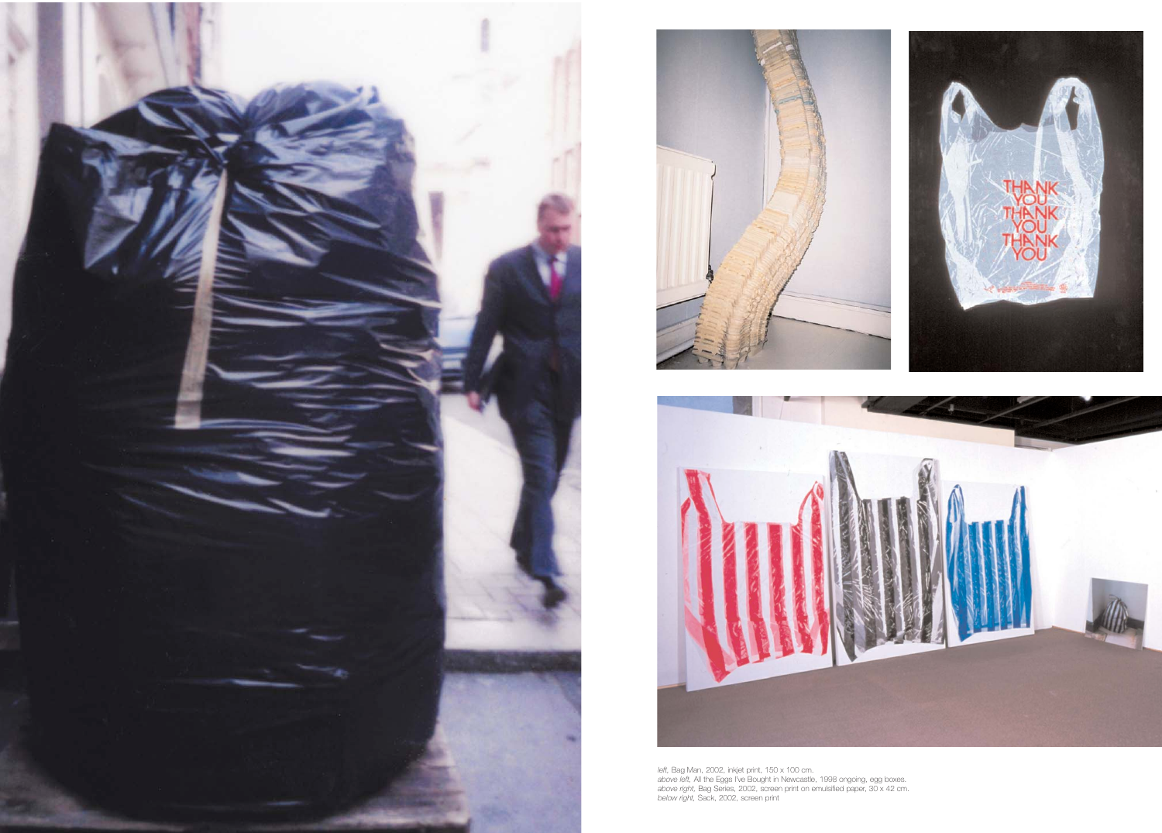





left, Bag Man, 2002, inkjet print, 150 x 100 cm.<br>*above left,* All the Eggs I've Bought in Newcastle, 1998 ongoing, egg boxes.<br>*above right*, Bag Series, 2002, screen print on emulsified paper, 30 x 42 cm.<br>*below right,* S